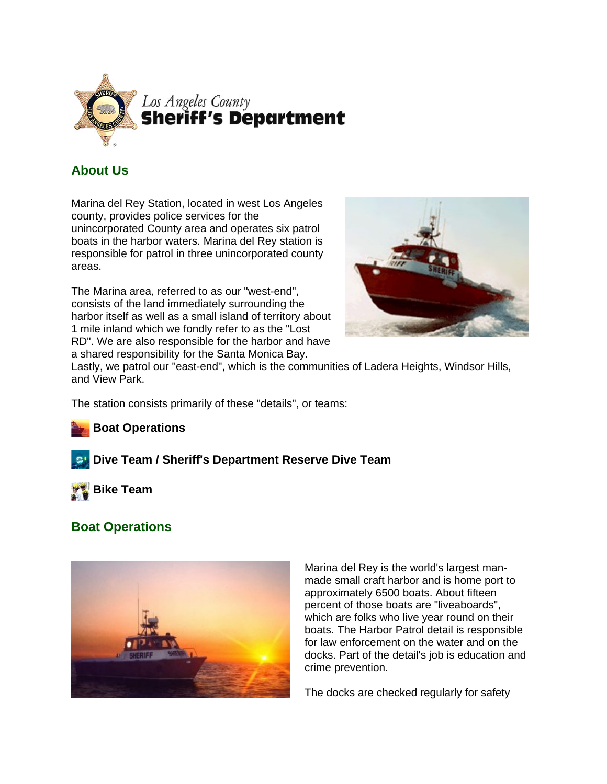

# **About Us**

Marina del Rey Station, located in west Los Angeles county, provides police services for the unincorporated County area and operates six patrol boats in the harbor waters. Marina del Rey station is responsible for patrol in three unincorporated county areas.

The Marina area, referred to as our "west-end", consists of the land immediately surrounding the harbor itself as well as a small island of territory about 1 mile inland which we fondly refer to as the "Lost RD". We are also responsible for the harbor and have a shared responsibility for the Santa Monica Bay.



Lastly, we patrol our "east-end", which is the communities of Ladera Heights, Windsor Hills, and View Park.

The station consists primarily of these "details", or teams:

### **Boat Operations**

### **Dive Team / Sheriff's Department Reserve Dive Team**



# **Boat Operations**



Marina del Rey is the world's largest manmade small craft harbor and is home port to approximately 6500 boats. About fifteen percent of those boats are "liveaboards", which are folks who live year round on their boats. The Harbor Patrol detail is responsible for law enforcement on the water and on the docks. Part of the detail's job is education and crime prevention.

The docks are checked regularly for safety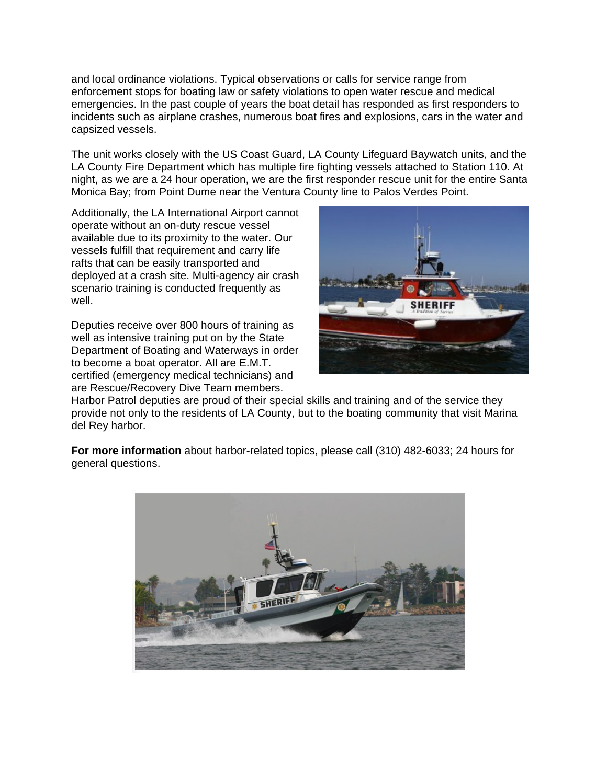and local ordinance violations. Typical observations or calls for service range from enforcement stops for boating law or safety violations to open water rescue and medical emergencies. In the past couple of years the boat detail has responded as first responders to incidents such as airplane crashes, numerous boat fires and explosions, cars in the water and capsized vessels.

The unit works closely with the US Coast Guard, LA County Lifeguard Baywatch units, and the LA County Fire Department which has multiple fire fighting vessels attached to Station 110. At night, as we are a 24 hour operation, we are the first responder rescue unit for the entire Santa Monica Bay; from Point Dume near the Ventura County line to Palos Verdes Point.

Additionally, the LA International Airport cannot operate without an on-duty rescue vessel available due to its proximity to the water. Our vessels fulfill that requirement and carry life rafts that can be easily transported and deployed at a crash site. Multi-agency air crash scenario training is conducted frequently as well.

Deputies receive over 800 hours of training as well as intensive training put on by the State Department of Boating and Waterways in order to become a boat operator. All are E.M.T. certified (emergency medical technicians) and are Rescue/Recovery Dive Team members.



Harbor Patrol deputies are proud of their special skills and training and of the service they provide not only to the residents of LA County, but to the boating community that visit Marina del Rey harbor.

**For more information** about harbor-related topics, please call (310) 482-6033; 24 hours for general questions.

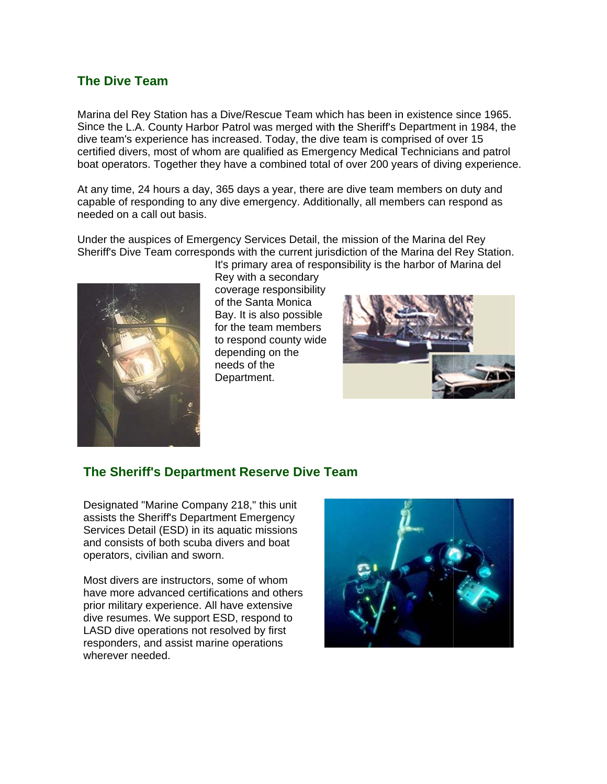### **The Dive Team**

Marina del Rey Station has a Dive/Rescue Team which has been in existence since 1965. Since the L.A. County Harbor Patrol was merged with the Sheriff's Department in 1984, the dive team's experience has increased. Today, the dive team is comprised of over 15 certified divers, most of whom are qualified as Emergency Medical Technicians and patrol boat operators. Together they have a combined total of over 200 years of diving experience.

At any time, 24 hours a day, 365 days a year, there are dive team members on duty and capable of responding to any dive emergency. Additionally, all members can respond as needed on a call out basis.

Under the auspices of Emergency Services Detail, the mission of the Marina del Rey Sheriff's Dive Team corresponds with the current jurisdiction of the Marina del Rey Station.



It's primary area of responsibility is the harbor of Marina del Rey with a secondary coverage responsibility of the Santa Monica Bay. It is also possible for the team members to respond county wide depending on the needs of the Department.



#### The Sheriff's Department Reserve Dive Team

Designated "Marine Company 218," this unit assists the Sheriff's Department Emergency Services Detail (ESD) in its aquatic missions and consists of both scuba divers and boat operators, civilian and sworn.

Most divers are instructors, some of whom have more advanced certifications and others prior military experience. All have extensive dive resumes. We support ESD, respond to LASD dive operations not resolved by first responders, and assist marine operations wherever needed.

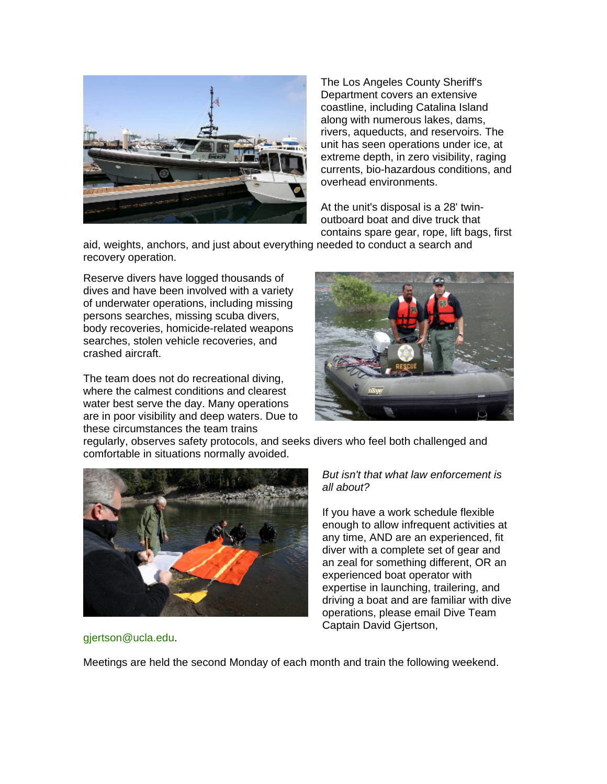

The Los Angeles County Sheriff's Department covers an extensive coastline, including Catalina Island along with numerous lakes, dams, rivers, aqueducts, and reservoirs. The unit has seen operations under ice, at extreme depth, in zero visibility, raging currents, bio-hazardous conditions, and overhead environments.

At the unit's disposal is a 28' twinoutboard boat and dive truck that contains spare gear, rope, lift bags, first

aid, weights, anchors, and just about everything needed to conduct a search and recovery operation.

Reserve divers have logged thousands of dives and have been involved with a variety of underwater operations, including missing persons searches, missing scuba divers, body recoveries, homicide-related weapons searches, stolen vehicle recoveries, and crashed aircraft.

The team does not do recreational diving, where the calmest conditions and clearest water best serve the day. Many operations are in poor visibility and deep waters. Due to these circumstances the team trains



regularly, observes safety protocols, and seeks divers who feel both challenged and comfortable in situations normally avoided.



#### *But isn't that what law enforcement is all about?*

If you have a work schedule flexible enough to allow infrequent activities at any time, AND are an experienced, fit diver with a complete set of gear and an zeal for something different, OR an experienced boat operator with expertise in launching, trailering, and driving a boat and are familiar with dive operations, please email Dive Team Captain David Gjertson,

gjertson@ucla.edu.

Meetings are held the second Monday of each month and train the following weekend.